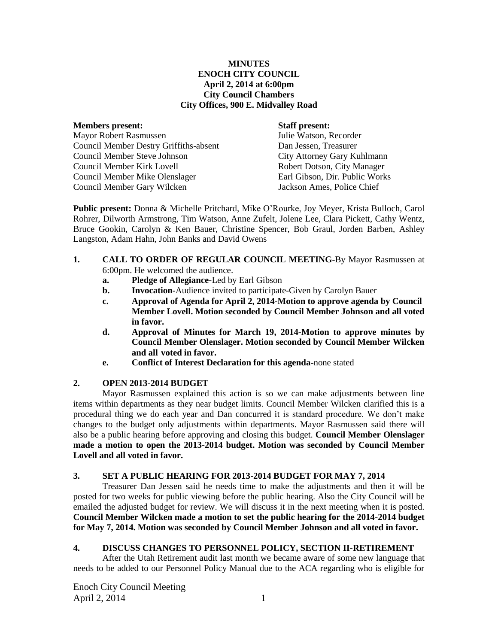## **MINUTES ENOCH CITY COUNCIL April 2, 2014 at 6:00pm City Council Chambers City Offices, 900 E. Midvalley Road**

#### **Members present: Staff present:**

Mayor Robert Rasmussen Julie Watson, Recorder Council Member Destry Griffiths-absent Dan Jessen, Treasurer Council Member Steve Johnson City Attorney Gary Kuhlmann Council Member Kirk Lovell Robert Dotson, City Manager Council Member Mike Olenslager Earl Gibson, Dir. Public Works Council Member Gary Wilcken Jackson Ames, Police Chief

**Public present:** Donna & Michelle Pritchard, Mike O'Rourke, Joy Meyer, Krista Bulloch, Carol Rohrer, Dilworth Armstrong, Tim Watson, Anne Zufelt, Jolene Lee, Clara Pickett, Cathy Wentz, Bruce Gookin, Carolyn & Ken Bauer, Christine Spencer, Bob Graul, Jorden Barben, Ashley Langston, Adam Hahn, John Banks and David Owens

## **1. CALL TO ORDER OF REGULAR COUNCIL MEETING-**By Mayor Rasmussen at 6:00pm. He welcomed the audience.

- **a. Pledge of Allegiance-**Led by Earl Gibson
- **b. Invocation-**Audience invited to participate-Given by Carolyn Bauer
- **c. Approval of Agenda for April 2, 2014-Motion to approve agenda by Council Member Lovell. Motion seconded by Council Member Johnson and all voted in favor.**
- **d. Approval of Minutes for March 19, 2014-Motion to approve minutes by Council Member Olenslager. Motion seconded by Council Member Wilcken and all voted in favor.**
- **e. Conflict of Interest Declaration for this agenda-**none stated

## **2. OPEN 2013-2014 BUDGET**

Mayor Rasmussen explained this action is so we can make adjustments between line items within departments as they near budget limits. Council Member Wilcken clarified this is a procedural thing we do each year and Dan concurred it is standard procedure. We don't make changes to the budget only adjustments within departments. Mayor Rasmussen said there will also be a public hearing before approving and closing this budget. **Council Member Olenslager made a motion to open the 2013-2014 budget. Motion was seconded by Council Member Lovell and all voted in favor.** 

## **3. SET A PUBLIC HEARING FOR 2013-2014 BUDGET FOR MAY 7, 2014**

Treasurer Dan Jessen said he needs time to make the adjustments and then it will be posted for two weeks for public viewing before the public hearing. Also the City Council will be emailed the adjusted budget for review. We will discuss it in the next meeting when it is posted. **Council Member Wilcken made a motion to set the public hearing for the 2014-2014 budget for May 7, 2014. Motion was seconded by Council Member Johnson and all voted in favor.**

## **4. DISCUSS CHANGES TO PERSONNEL POLICY, SECTION II-RETIREMENT**

After the Utah Retirement audit last month we became aware of some new language that needs to be added to our Personnel Policy Manual due to the ACA regarding who is eligible for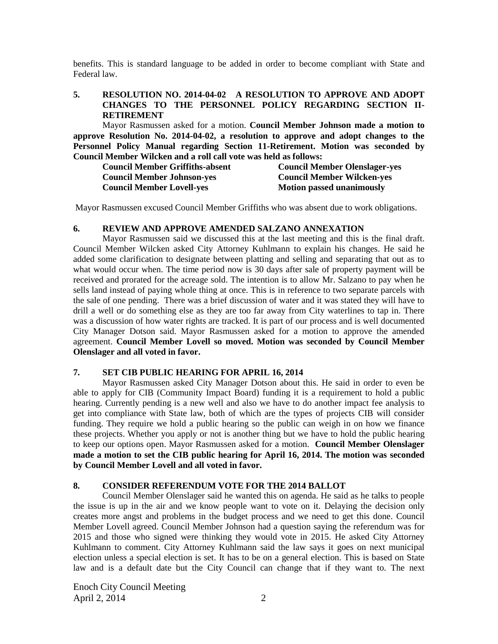benefits. This is standard language to be added in order to become compliant with State and Federal law.

## **5. RESOLUTION NO. 2014-04-02 A RESOLUTION TO APPROVE AND ADOPT CHANGES TO THE PERSONNEL POLICY REGARDING SECTION II-RETIREMENT**

Mayor Rasmussen asked for a motion. **Council Member Johnson made a motion to approve Resolution No. 2014-04-02, a resolution to approve and adopt changes to the Personnel Policy Manual regarding Section 11-Retirement. Motion was seconded by Council Member Wilcken and a roll call vote was held as follows:** 

| <b>Council Member Griffiths-absent</b> | <b>Council Member Olenslager-yes</b> |
|----------------------------------------|--------------------------------------|
| <b>Council Member Johnson-yes</b>      | <b>Council Member Wilcken-yes</b>    |
| <b>Council Member Lovell-yes</b>       | <b>Motion passed unanimously</b>     |

Mayor Rasmussen excused Council Member Griffiths who was absent due to work obligations.

## **6. REVIEW AND APPROVE AMENDED SALZANO ANNEXATION**

Mayor Rasmussen said we discussed this at the last meeting and this is the final draft. Council Member Wilcken asked City Attorney Kuhlmann to explain his changes. He said he added some clarification to designate between platting and selling and separating that out as to what would occur when. The time period now is 30 days after sale of property payment will be received and prorated for the acreage sold. The intention is to allow Mr. Salzano to pay when he sells land instead of paying whole thing at once. This is in reference to two separate parcels with the sale of one pending. There was a brief discussion of water and it was stated they will have to drill a well or do something else as they are too far away from City waterlines to tap in. There was a discussion of how water rights are tracked. It is part of our process and is well documented City Manager Dotson said. Mayor Rasmussen asked for a motion to approve the amended agreement. **Council Member Lovell so moved. Motion was seconded by Council Member Olenslager and all voted in favor.**

## **7. SET CIB PUBLIC HEARING FOR APRIL 16, 2014**

Mayor Rasmussen asked City Manager Dotson about this. He said in order to even be able to apply for CIB (Community Impact Board) funding it is a requirement to hold a public hearing. Currently pending is a new well and also we have to do another impact fee analysis to get into compliance with State law, both of which are the types of projects CIB will consider funding. They require we hold a public hearing so the public can weigh in on how we finance these projects. Whether you apply or not is another thing but we have to hold the public hearing to keep our options open. Mayor Rasmussen asked for a motion. **Council Member Olenslager made a motion to set the CIB public hearing for April 16, 2014. The motion was seconded by Council Member Lovell and all voted in favor.**

## **8. CONSIDER REFERENDUM VOTE FOR THE 2014 BALLOT**

Council Member Olenslager said he wanted this on agenda. He said as he talks to people the issue is up in the air and we know people want to vote on it. Delaying the decision only creates more angst and problems in the budget process and we need to get this done. Council Member Lovell agreed. Council Member Johnson had a question saying the referendum was for 2015 and those who signed were thinking they would vote in 2015. He asked City Attorney Kuhlmann to comment. City Attorney Kuhlmann said the law says it goes on next municipal election unless a special election is set. It has to be on a general election. This is based on State law and is a default date but the City Council can change that if they want to. The next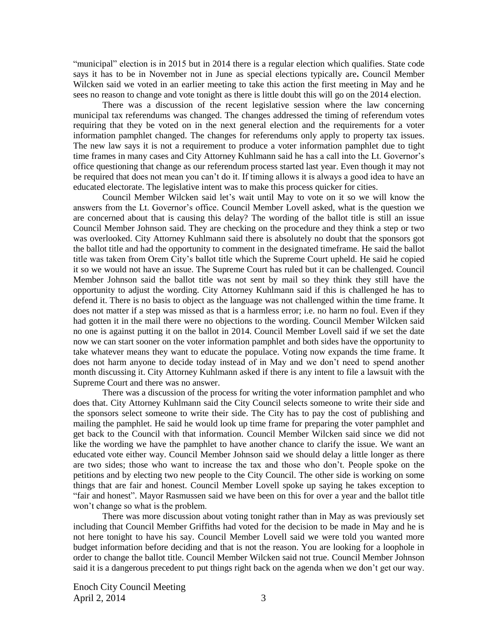"municipal" election is in 2015 but in 2014 there is a regular election which qualifies. State code says it has to be in November not in June as special elections typically are**.** Council Member Wilcken said we voted in an earlier meeting to take this action the first meeting in May and he sees no reason to change and vote tonight as there is little doubt this will go on the 2014 election.

There was a discussion of the recent legislative session where the law concerning municipal tax referendums was changed. The changes addressed the timing of referendum votes requiring that they be voted on in the next general election and the requirements for a voter information pamphlet changed. The changes for referendums only apply to property tax issues. The new law says it is not a requirement to produce a voter information pamphlet due to tight time frames in many cases and City Attorney Kuhlmann said he has a call into the Lt. Governor's office questioning that change as our referendum process started last year. Even though it may not be required that does not mean you can't do it. If timing allows it is always a good idea to have an educated electorate. The legislative intent was to make this process quicker for cities.

Council Member Wilcken said let's wait until May to vote on it so we will know the answers from the Lt. Governor's office. Council Member Lovell asked, what is the question we are concerned about that is causing this delay? The wording of the ballot title is still an issue Council Member Johnson said. They are checking on the procedure and they think a step or two was overlooked. City Attorney Kuhlmann said there is absolutely no doubt that the sponsors got the ballot title and had the opportunity to comment in the designated timeframe. He said the ballot title was taken from Orem City's ballot title which the Supreme Court upheld. He said he copied it so we would not have an issue. The Supreme Court has ruled but it can be challenged. Council Member Johnson said the ballot title was not sent by mail so they think they still have the opportunity to adjust the wording. City Attorney Kuhlmann said if this is challenged he has to defend it. There is no basis to object as the language was not challenged within the time frame. It does not matter if a step was missed as that is a harmless error; i.e. no harm no foul. Even if they had gotten it in the mail there were no objections to the wording. Council Member Wilcken said no one is against putting it on the ballot in 2014. Council Member Lovell said if we set the date now we can start sooner on the voter information pamphlet and both sides have the opportunity to take whatever means they want to educate the populace. Voting now expands the time frame. It does not harm anyone to decide today instead of in May and we don't need to spend another month discussing it. City Attorney Kuhlmann asked if there is any intent to file a lawsuit with the Supreme Court and there was no answer.

There was a discussion of the process for writing the voter information pamphlet and who does that. City Attorney Kuhlmann said the City Council selects someone to write their side and the sponsors select someone to write their side. The City has to pay the cost of publishing and mailing the pamphlet. He said he would look up time frame for preparing the voter pamphlet and get back to the Council with that information. Council Member Wilcken said since we did not like the wording we have the pamphlet to have another chance to clarify the issue. We want an educated vote either way. Council Member Johnson said we should delay a little longer as there are two sides; those who want to increase the tax and those who don't. People spoke on the petitions and by electing two new people to the City Council. The other side is working on some things that are fair and honest. Council Member Lovell spoke up saying he takes exception to "fair and honest". Mayor Rasmussen said we have been on this for over a year and the ballot title won't change so what is the problem.

There was more discussion about voting tonight rather than in May as was previously set including that Council Member Griffiths had voted for the decision to be made in May and he is not here tonight to have his say. Council Member Lovell said we were told you wanted more budget information before deciding and that is not the reason. You are looking for a loophole in order to change the ballot title. Council Member Wilcken said not true. Council Member Johnson said it is a dangerous precedent to put things right back on the agenda when we don't get our way.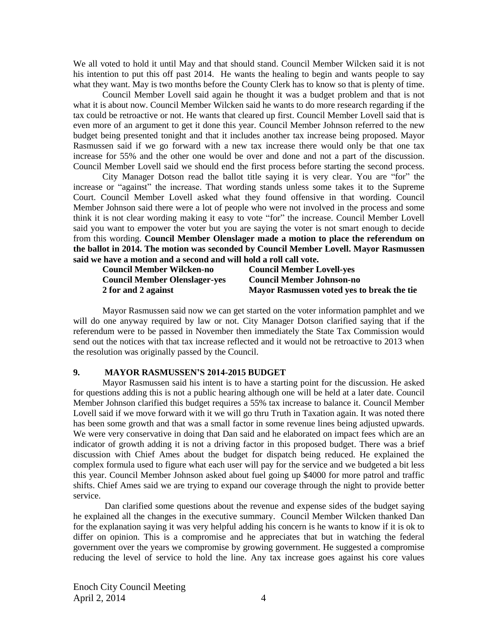We all voted to hold it until May and that should stand. Council Member Wilcken said it is not his intention to put this off past 2014. He wants the healing to begin and wants people to say what they want. May is two months before the County Clerk has to know so that is plenty of time.

Council Member Lovell said again he thought it was a budget problem and that is not what it is about now. Council Member Wilcken said he wants to do more research regarding if the tax could be retroactive or not. He wants that cleared up first. Council Member Lovell said that is even more of an argument to get it done this year. Council Member Johnson referred to the new budget being presented tonight and that it includes another tax increase being proposed. Mayor Rasmussen said if we go forward with a new tax increase there would only be that one tax increase for 55% and the other one would be over and done and not a part of the discussion. Council Member Lovell said we should end the first process before starting the second process.

City Manager Dotson read the ballot title saying it is very clear. You are "for" the increase or "against" the increase. That wording stands unless some takes it to the Supreme Court. Council Member Lovell asked what they found offensive in that wording. Council Member Johnson said there were a lot of people who were not involved in the process and some think it is not clear wording making it easy to vote "for" the increase. Council Member Lovell said you want to empower the voter but you are saying the voter is not smart enough to decide from this wording. **Council Member Olenslager made a motion to place the referendum on the ballot in 2014. The motion was seconded by Council Member Lovell. Mayor Rasmussen said we have a motion and a second and will hold a roll call vote.** 

| <b>Council Member Wilcken-no</b>     | <b>Council Member Lovell-yes</b>           |
|--------------------------------------|--------------------------------------------|
| <b>Council Member Olenslager-yes</b> | <b>Council Member Johnson-no</b>           |
| 2 for and 2 against                  | Mayor Rasmussen voted yes to break the tie |

Mayor Rasmussen said now we can get started on the voter information pamphlet and we will do one anyway required by law or not. City Manager Dotson clarified saying that if the referendum were to be passed in November then immediately the State Tax Commission would send out the notices with that tax increase reflected and it would not be retroactive to 2013 when the resolution was originally passed by the Council.

#### **9. MAYOR RASMUSSEN'S 2014-2015 BUDGET**

Mayor Rasmussen said his intent is to have a starting point for the discussion. He asked for questions adding this is not a public hearing although one will be held at a later date. Council Member Johnson clarified this budget requires a 55% tax increase to balance it. Council Member Lovell said if we move forward with it we will go thru Truth in Taxation again. It was noted there has been some growth and that was a small factor in some revenue lines being adjusted upwards. We were very conservative in doing that Dan said and he elaborated on impact fees which are an indicator of growth adding it is not a driving factor in this proposed budget. There was a brief discussion with Chief Ames about the budget for dispatch being reduced. He explained the complex formula used to figure what each user will pay for the service and we budgeted a bit less this year. Council Member Johnson asked about fuel going up \$4000 for more patrol and traffic shifts. Chief Ames said we are trying to expand our coverage through the night to provide better service.

Dan clarified some questions about the revenue and expense sides of the budget saying he explained all the changes in the executive summary. Council Member Wilcken thanked Dan for the explanation saying it was very helpful adding his concern is he wants to know if it is ok to differ on opinion. This is a compromise and he appreciates that but in watching the federal government over the years we compromise by growing government. He suggested a compromise reducing the level of service to hold the line. Any tax increase goes against his core values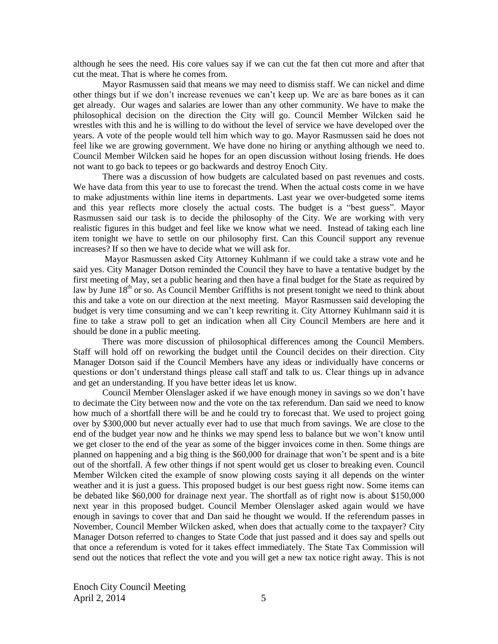although he sees the need. His core values say if we can cut the fat then cut more and after that cut the meat. That is where he comes from.

Mayor Rasmussen said that means we may need to dismiss staff. We can nickel and dime other things but if we don't increase revenues we can't keep up. We are as bare bones as it can get already. Our wages and salaries are lower than any other community. We have to make the philosophical decision on the direction the City will go. Council Member Wilcken said he wrestles with this and he is willing to do without the level of service we have developed over the years. A vote of the people would tell him which way to go. Mayor Rasmussen said he does not feel like we are growing government. We have done no hiring or anything although we need to. Council Member Wilcken said he hopes for an open discussion without losing friends. He does not want to go back to tepees or go backwards and destroy Enoch City.

There was a discussion of how budgets are calculated based on past revenues and costs. We have data from this year to use to forecast the trend. When the actual costs come in we have to make adjustments within line items in departments. Last year we over-budgeted some items and this year reflects more closely the actual costs. The budget is a "best guess". Mayor Rasmussen said our task is to decide the philosophy of the City. We are working with very realistic figures in this budget and feel like we know what we need. Instead of taking each line item tonight we have to settle on our philosophy first. Can this Council support any revenue increases? If so then we have to decide what we will ask for.

Mayor Rasmussen asked City Attorney Kuhlmann if we could take a straw vote and he said yes. City Manager Dotson reminded the Council they have to have a tentative budget by the first meeting of May, set a public hearing and then have a final budget for the State as required by law by June 18<sup>th</sup> or so. As Council Member Griffiths is not present tonight we need to think about this and take a vote on our direction at the next meeting. Mayor Rasmussen said developing the budget is very time consuming and we can't keep rewriting it. City Attorney Kuhlmann said it is fine to take a straw poll to get an indication when all City Council Members are here and it should be done in a public meeting.

There was more discussion of philosophical differences among the Council Members. Staff will hold off on reworking the budget until the Council decides on their direction. City Manager Dotson said if the Council Members have any ideas or individually have concerns or questions or don't understand things please call staff and talk to us. Clear things up in advance and get an understanding. If you have better ideas let us know.

Council Member Olenslager asked if we have enough money in savings so we don't have to decimate the City between now and the vote on the tax referendum. Dan said we need to know how much of a shortfall there will be and he could try to forecast that. We used to project going over by \$300,000 but never actually ever had to use that much from savings. We are close to the end of the budget year now and he thinks we may spend less to balance but we won't know until we get closer to the end of the year as some of the bigger invoices come in then. Some things are planned on happening and a big thing is the \$60,000 for drainage that won't be spent and is a bite out of the shortfall. A few other things if not spent would get us closer to breaking even. Council Member Wilcken cited the example of snow plowing costs saying it all depends on the winter weather and it is just a guess. This proposed budget is our best guess right now. Some items can be debated like \$60,000 for drainage next year. The shortfall as of right now is about \$150,000 next year in this proposed budget. Council Member Olenslager asked again would we have enough in savings to cover that and Dan said he thought we would. If the referendum passes in November, Council Member Wilcken asked, when does that actually come to the taxpayer? City Manager Dotson referred to changes to State Code that just passed and it does say and spells out that once a referendum is voted for it takes effect immediately. The State Tax Commission will send out the notices that reflect the vote and you will get a new tax notice right away. This is not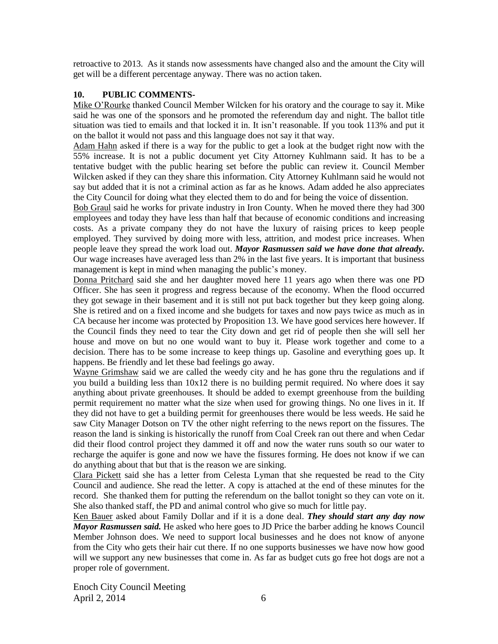retroactive to 2013. As it stands now assessments have changed also and the amount the City will get will be a different percentage anyway. There was no action taken.

## **10. PUBLIC COMMENTS-**

Mike O'Rourke thanked Council Member Wilcken for his oratory and the courage to say it. Mike said he was one of the sponsors and he promoted the referendum day and night. The ballot title situation was tied to emails and that locked it in. It isn't reasonable. If you took 113% and put it on the ballot it would not pass and this language does not say it that way.

Adam Hahn asked if there is a way for the public to get a look at the budget right now with the 55% increase. It is not a public document yet City Attorney Kuhlmann said. It has to be a tentative budget with the public hearing set before the public can review it. Council Member Wilcken asked if they can they share this information. City Attorney Kuhlmann said he would not say but added that it is not a criminal action as far as he knows. Adam added he also appreciates the City Council for doing what they elected them to do and for being the voice of dissention.

Bob Graul said he works for private industry in Iron County. When he moved there they had 300 employees and today they have less than half that because of economic conditions and increasing costs. As a private company they do not have the luxury of raising prices to keep people employed. They survived by doing more with less, attrition, and modest price increases. When people leave they spread the work load out. *Mayor Rasmussen said we have done that already.*  Our wage increases have averaged less than 2% in the last five years. It is important that business management is kept in mind when managing the public's money.

Donna Pritchard said she and her daughter moved here 11 years ago when there was one PD Officer. She has seen it progress and regress because of the economy. When the flood occurred they got sewage in their basement and it is still not put back together but they keep going along. She is retired and on a fixed income and she budgets for taxes and now pays twice as much as in CA because her income was protected by Proposition 13. We have good services here however. If the Council finds they need to tear the City down and get rid of people then she will sell her house and move on but no one would want to buy it. Please work together and come to a decision. There has to be some increase to keep things up. Gasoline and everything goes up. It happens. Be friendly and let these bad feelings go away.

Wayne Grimshaw said we are called the weedy city and he has gone thru the regulations and if you build a building less than 10x12 there is no building permit required. No where does it say anything about private greenhouses. It should be added to exempt greenhouse from the building permit requirement no matter what the size when used for growing things. No one lives in it. If they did not have to get a building permit for greenhouses there would be less weeds. He said he saw City Manager Dotson on TV the other night referring to the news report on the fissures. The reason the land is sinking is historically the runoff from Coal Creek ran out there and when Cedar did their flood control project they dammed it off and now the water runs south so our water to recharge the aquifer is gone and now we have the fissures forming. He does not know if we can do anything about that but that is the reason we are sinking.

Clara Pickett said she has a letter from Celesta Lyman that she requested be read to the City Council and audience. She read the letter. A copy is attached at the end of these minutes for the record. She thanked them for putting the referendum on the ballot tonight so they can vote on it. She also thanked staff, the PD and animal control who give so much for little pay.

Ken Bauer asked about Family Dollar and if it is a done deal. *They should start any day now Mayor Rasmussen said.* He asked who here goes to JD Price the barber adding he knows Council Member Johnson does. We need to support local businesses and he does not know of anyone from the City who gets their hair cut there. If no one supports businesses we have now how good will we support any new businesses that come in. As far as budget cuts go free hot dogs are not a proper role of government.